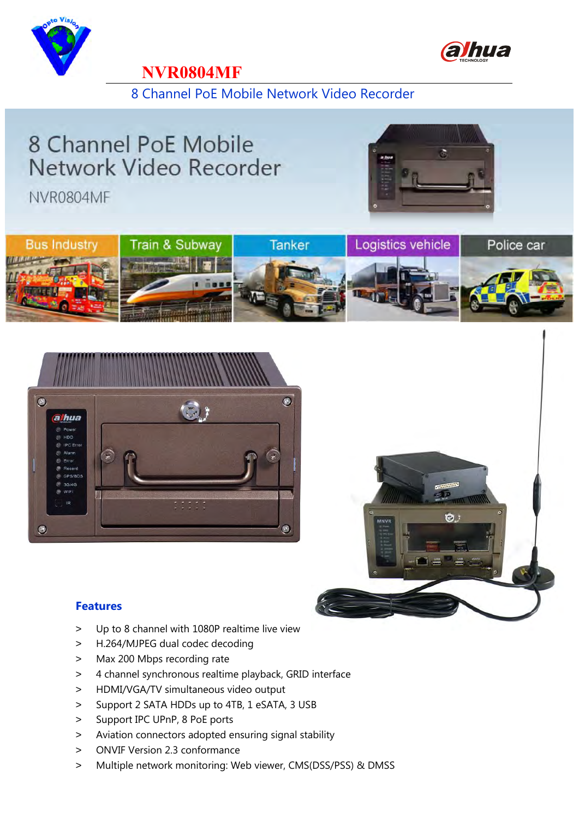



#### **NVR0804MF**

8 Channel PoE Mobile Network Video Recorder

# 8 Channel PoE Mobile Network Video Recorder

**NVR0804MF** 









#### **Features**

- > Up to 8 channel with 1080P realtime live view
- > H.264/MJPEG dual codec decoding
- > Max 200 Mbps recording rate
- > 4 channel synchronous realtime playback, GRID interface
- > HDMI/VGA/TV simultaneous video output
- > Support 2 SATA HDDs up to 4TB, 1 eSATA, 3 USB
- > Support IPC UPnP, 8 PoE ports
- > Aviation connectors adopted ensuring signal stability
- > ONVIF Version 2.3 conformance
- > Multiple network monitoring: Web viewer, CMS(DSS/PSS) & DMSS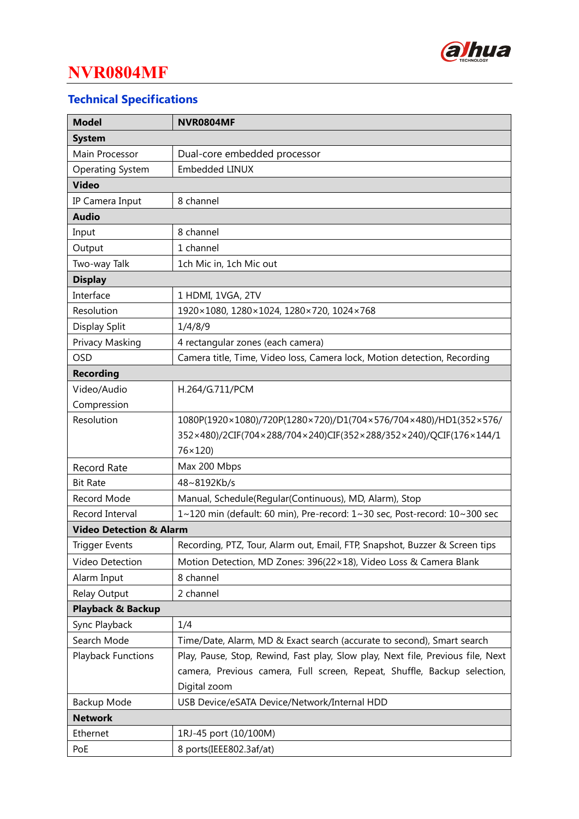

# **NVR0804MF**

### **Technical Specifications**

| <b>Model</b>                       | NVR0804MF                                                                       |  |
|------------------------------------|---------------------------------------------------------------------------------|--|
| <b>System</b>                      |                                                                                 |  |
| Main Processor                     | Dual-core embedded processor                                                    |  |
| Operating System                   | <b>Embedded LINUX</b>                                                           |  |
| <b>Video</b>                       |                                                                                 |  |
| IP Camera Input                    | 8 channel                                                                       |  |
| <b>Audio</b>                       |                                                                                 |  |
| Input                              | 8 channel                                                                       |  |
| Output                             | 1 channel                                                                       |  |
| Two-way Talk                       | 1ch Mic in, 1ch Mic out                                                         |  |
| <b>Display</b>                     |                                                                                 |  |
| Interface                          | 1 HDMI, 1VGA, 2TV                                                               |  |
| Resolution                         | 1920×1080, 1280×1024, 1280×720, 1024×768                                        |  |
| Display Split                      | 1/4/8/9                                                                         |  |
| Privacy Masking                    | 4 rectangular zones (each camera)                                               |  |
| <b>OSD</b>                         | Camera title, Time, Video loss, Camera lock, Motion detection, Recording        |  |
| <b>Recording</b>                   |                                                                                 |  |
| Video/Audio                        | H.264/G.711/PCM                                                                 |  |
| Compression                        |                                                                                 |  |
| Resolution                         | 1080P(1920×1080)/720P(1280×720)/D1(704×576/704×480)/HD1(352×576/                |  |
|                                    | 352×480)/2CIF(704×288/704×240)CIF(352×288/352×240)/QCIF(176×144/1               |  |
|                                    | 76×120)                                                                         |  |
| Record Rate                        | Max 200 Mbps                                                                    |  |
| <b>Bit Rate</b>                    | 48~8192Kb/s                                                                     |  |
| Record Mode                        | Manual, Schedule(Regular(Continuous), MD, Alarm), Stop                          |  |
| Record Interval                    | 1~120 min (default: 60 min), Pre-record: 1~30 sec, Post-record: 10~300 sec      |  |
| <b>Video Detection &amp; Alarm</b> |                                                                                 |  |
| Trigger Events                     | Recording, PTZ, Tour, Alarm out, Email, FTP, Snapshot, Buzzer & Screen tips     |  |
| Video Detection                    | Motion Detection, MD Zones: 396(22×18), Video Loss & Camera Blank               |  |
| Alarm Input                        | 8 channel                                                                       |  |
| Relay Output                       | 2 channel                                                                       |  |
| <b>Playback &amp; Backup</b>       |                                                                                 |  |
| Sync Playback                      | 1/4                                                                             |  |
| Search Mode                        | Time/Date, Alarm, MD & Exact search (accurate to second), Smart search          |  |
| Playback Functions                 | Play, Pause, Stop, Rewind, Fast play, Slow play, Next file, Previous file, Next |  |
|                                    | camera, Previous camera, Full screen, Repeat, Shuffle, Backup selection,        |  |
|                                    | Digital zoom                                                                    |  |
| Backup Mode                        | USB Device/eSATA Device/Network/Internal HDD                                    |  |
| <b>Network</b>                     |                                                                                 |  |
| Ethernet                           | 1RJ-45 port (10/100M)                                                           |  |
| PoE                                | 8 ports(IEEE802.3af/at)                                                         |  |